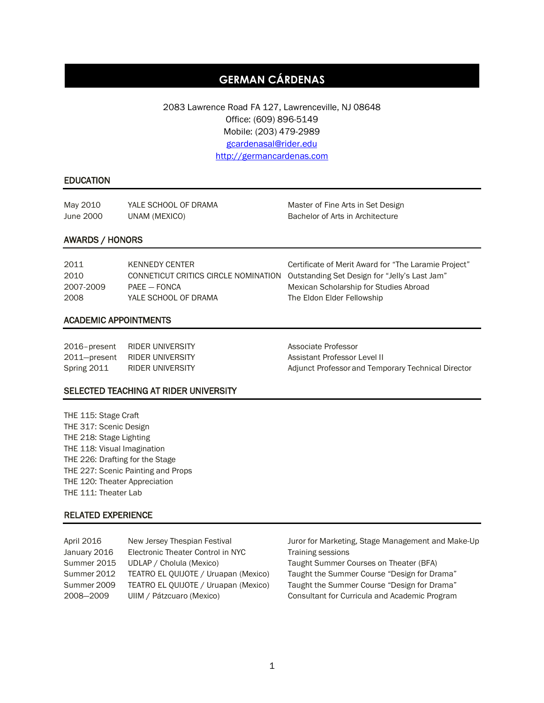# **GERMAN CÁRDENAS**

2083 Lawrence Road FA 127, Lawrenceville, NJ 08648 Office: (609) 896-5149 Mobile: (203) 479-2989 [gcardenasal@rider.edu](mailto:gcardenasal@rider.edu) [http://germancardenas.com](http://germancardenas.com/)

### EDUCATION

May 2010 YALE SCHOOL OF DRAMA Master of Fine Arts in Set Design June 2000 UNAM (MEXICO) Bachelor of Arts in Architecture

#### AWARDS / HONORS

| 2011      | KENNEDY CENTER       | Certificate of Merit Award for "The Laramie Project"                               |
|-----------|----------------------|------------------------------------------------------------------------------------|
| 2010      |                      | CONNETICUT CRITICS CIRCLE NOMINATION Outstanding Set Design for "Jelly's Last Jam" |
| 2007-2009 | $PAFF = FONCA$       | Mexican Scholarship for Studies Abroad                                             |
| 2008      | YALE SCHOOL OF DRAMA | The Eldon Elder Fellowship                                                         |

#### ACADEMIC APPOINTMENTS

| 2016-present | RIDER UNIVERSITY |  |
|--------------|------------------|--|
| 2011-present | RIDER UNIVERSITY |  |
| Spring 2011  | RIDER UNIVERSITY |  |

Associate Professor Assistant Professor Level II Adjunct Professor and Temporary Technical Director

#### SELECTED TEACHING AT RIDER UNIVERSITY

THE 115: Stage Craft THE 317: Scenic Design THE 218: Stage Lighting THE 118: Visual Imagination THE 226: Drafting for the Stage THE 227: Scenic Painting and Props THE 120: Theater Appreciation THE 111: Theater Lab

#### RELATED EXPERIENCE

| April 2016   | New Jersey Thespian Festival         |
|--------------|--------------------------------------|
| January 2016 | Electronic Theater Control in NYC    |
| Summer 2015  | UDLAP / Cholula (Mexico)             |
| Summer 2012  | TEATRO EL QUIJOTE / Uruapan (Mexico) |
| Summer 2009  | TEATRO EL QUIJOTE / Uruapan (Mexico) |
| 2008-2009    | UIIM / Pátzcuaro (Mexico)            |
|              |                                      |

Juror for Marketing, Stage Management and Make-Up Training sessions Taught Summer Courses on Theater (BFA) Taught the Summer Course "Design for Drama" Taught the Summer Course "Design for Drama" Consultant for Curricula and Academic Program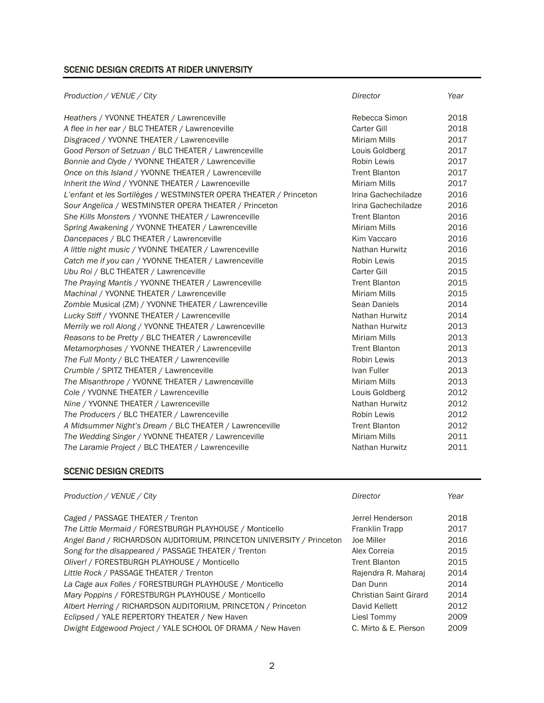# SCENIC DESIGN CREDITS AT RIDER UNIVERSITY

| Production / VENUE / City                                          | Director             | Year |
|--------------------------------------------------------------------|----------------------|------|
| Heathers / YVONNE THEATER / Lawrenceville                          | Rebecca Simon        | 2018 |
| A flee in her ear / BLC THEATER / Lawrenceville                    | <b>Carter Gill</b>   | 2018 |
| Disgraced / YVONNE THEATER / Lawrenceville                         | <b>Miriam Mills</b>  | 2017 |
| Good Person of Setzuan / BLC THEATER / Lawrenceville               | Louis Goldberg       | 2017 |
| Bonnie and Clyde / YVONNE THEATER / Lawrenceville                  | <b>Robin Lewis</b>   | 2017 |
| Once on this Island / YVONNE THEATER / Lawrenceville               | <b>Trent Blanton</b> | 2017 |
| Inherit the Wind / YVONNE THEATER / Lawrenceville                  | <b>Miriam Mills</b>  | 2017 |
| L'enfant et les Sortilèges / WESTMINSTER OPERA THEATER / Princeton | Irina Gachechiladze  | 2016 |
| Sour Angelica / WESTMINSTER OPERA THEATER / Princeton              | Irina Gachechiladze  | 2016 |
| She Kills Monsters / YVONNE THEATER / Lawrenceville                | <b>Trent Blanton</b> | 2016 |
| Spring Awakening / YVONNE THEATER / Lawrenceville                  | Miriam Mills         | 2016 |
| Dancepaces / BLC THEATER / Lawrenceville                           | Kim Vaccaro          | 2016 |
| A little night music / YVONNE THEATER / Lawrenceville              | Nathan Hurwitz       | 2016 |
| Catch me if you can / YVONNE THEATER / Lawrenceville               | Robin Lewis          | 2015 |
| Ubu Roi / BLC THEATER / Lawrenceville                              | <b>Carter Gill</b>   | 2015 |
| The Praying Mantis / YVONNE THEATER / Lawrenceville                | <b>Trent Blanton</b> | 2015 |
| Machinal / YVONNE THEATER / Lawrenceville                          | <b>Miriam Mills</b>  | 2015 |
| Zombie Musical (ZM) / YVONNE THEATER / Lawrenceville               | Sean Daniels         | 2014 |
| Lucky Stiff / YVONNE THEATER / Lawrenceville                       | Nathan Hurwitz       | 2014 |
| Merrily we roll Along / YVONNE THEATER / Lawrenceville             | Nathan Hurwitz       | 2013 |
| Reasons to be Pretty / BLC THEATER / Lawrenceville                 | <b>Miriam Mills</b>  | 2013 |
| Metamorphoses / YVONNE THEATER / Lawrenceville                     | <b>Trent Blanton</b> | 2013 |
| The Full Monty / BLC THEATER / Lawrenceville                       | Robin Lewis          | 2013 |
| Crumble / SPITZ THEATER / Lawrenceville                            | Ivan Fuller          | 2013 |
| The Misanthrope / YVONNE THEATER / Lawrenceville                   | <b>Miriam Mills</b>  | 2013 |
| Cole / YVONNE THEATER / Lawrenceville                              | Louis Goldberg       | 2012 |
| Nine / YVONNE THEATER / Lawrenceville                              | Nathan Hurwitz       | 2012 |
| The Producers / BLC THEATER / Lawrenceville                        | <b>Robin Lewis</b>   | 2012 |
| A Midsummer Night's Dream / BLC THEATER / Lawrenceville            | <b>Trent Blanton</b> | 2012 |
| The Wedding Singer / YVONNE THEATER / Lawrenceville                | <b>Miriam Mills</b>  | 2011 |
| The Laramie Project / BLC THEATER / Lawrenceville                  | Nathan Hurwitz       | 2011 |

# SCENIC DESIGN CREDITS

| Production / VENUE / City                                            | Director                      | Year |
|----------------------------------------------------------------------|-------------------------------|------|
| Caged / PASSAGE THEATER / Trenton                                    | Jerrel Henderson              | 2018 |
| The Little Mermaid / FORESTBURGH PLAYHOUSE / Monticello              | Franklin Trapp                | 2017 |
| Angel Band / RICHARDSON AUDITORIUM, PRINCETON UNIVERSITY / Princeton | Joe Miller                    | 2016 |
| Song for the disappeared / PASSAGE THEATER / Trenton                 | Alex Correia                  | 2015 |
| Oliver! / FORESTBURGH PLAYHOUSE / Monticello                         | <b>Trent Blanton</b>          | 2015 |
| Little Rock / PASSAGE THEATER / Trenton                              | Rajendra R. Maharaj           | 2014 |
| La Cage aux Folles / FORESTBURGH PLAYHOUSE / Monticello              | Dan Dunn                      | 2014 |
| Mary Poppins / FORESTBURGH PLAYHOUSE / Monticello                    | <b>Christian Saint Girard</b> | 2014 |
| Albert Herring / RICHARDSON AUDITORIUM, PRINCETON / Princeton        | David Kellett                 | 2012 |
| Eclipsed / YALE REPERTORY THEATER / New Haven                        | Liesl Tommy                   | 2009 |
| Dwight Edgewood Project / YALE SCHOOL OF DRAMA / New Haven           | C. Mirto & E. Pierson         | 2009 |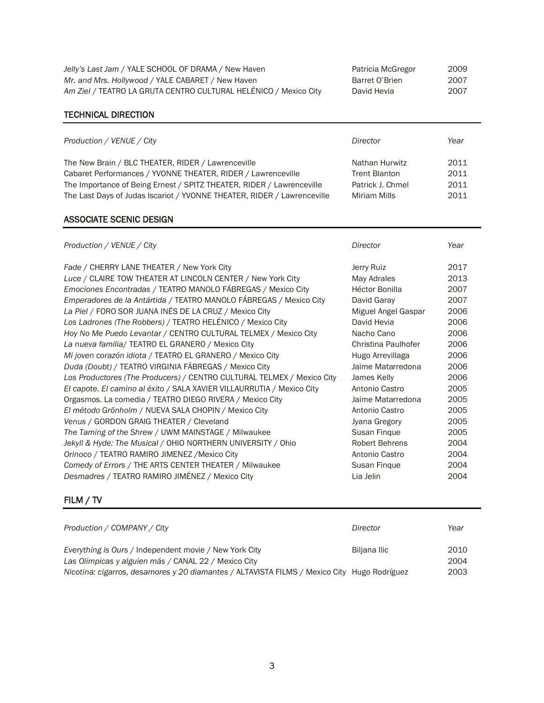| Jelly's Last Jam / YALE SCHOOL OF DRAMA / New Haven              | Patricia McGregor | 2009 |
|------------------------------------------------------------------|-------------------|------|
| Mr. and Mrs. Hollywood / YALE CABARET / New Haven                | Barret O'Brien    | 2007 |
| Am Ziel / TEATRO LA GRUTA CENTRO CULTURAL HELÉNICO / Mexico City | David Hevia       | 2007 |

| Patricia McGregor | 2009 |
|-------------------|------|
| Barret O'Brien    | 2007 |
| )avid Hevia       | 2007 |

# TECHNICAL DIRECTION

| Production / VENUE / City                                               | Director         | Year |
|-------------------------------------------------------------------------|------------------|------|
| The New Brain / BLC THEATER, RIDER / Lawrenceville                      | Nathan Hurwitz   | 2011 |
| Cabaret Performances / YVONNE THEATER, RIDER / Lawrenceville            | Trent Blanton    | 2011 |
| The Importance of Being Ernest / SPITZ THEATER, RIDER / Lawrenceville   | Patrick J. Chmel | 2011 |
| The Last Days of Judas Iscariot / YVONNE THEATER, RIDER / Lawrenceville | Miriam Mills     | 2011 |

### ASSOCIATE SCENIC DESIGN

| Production / VENUE / City                                              | Director              | Year |
|------------------------------------------------------------------------|-----------------------|------|
| Fade / CHERRY LANE THEATER / New York City                             | Jerry Ruiz            | 2017 |
| Luce / CLAIRE TOW THEATER AT LINCOLN CENTER / New York City            | May Adrales           | 2013 |
| Emociones Encontradas / TEATRO MANOLO FÁBREGAS / Mexico City           | Héctor Bonilla        | 2007 |
| Emperadores de la Antártida / TEATRO MANOLO FÁBREGAS / Mexico City     | David Garay           | 2007 |
| La Piel / FORO SOR JUANA INÉS DE LA CRUZ / Mexico City                 | Miguel Angel Gaspar   | 2006 |
| Los Ladrones (The Robbers) / TEATRO HELÉNICO / Mexico City             | David Hevia           | 2006 |
| Hoy No Me Puedo Levantar / CENTRO CULTURAL TELMEX / Mexico City        | Nacho Cano            | 2006 |
| La nueva familia/ TEATRO EL GRANERO / Mexico City                      | Christina Paulhofer   | 2006 |
| Mi joven corazón idiota / TEATRO EL GRANERO / Mexico City              | Hugo Arrevillaga      | 2006 |
| Duda (Doubt) / TEATRO VIRGINIA FÁBREGAS / Mexico City                  | Jaime Matarredona     | 2006 |
| Los Productores (The Producers) / CENTRO CULTURAL TELMEX / Mexico City | James Kelly           | 2006 |
| El capote. El camino al éxito / SALA XAVIER VILLAURRUTIA / Mexico City | Antonio Castro        | 2005 |
| Orgasmos. La comedia / TEATRO DIEGO RIVERA / Mexico City               | Jaime Matarredona     | 2005 |
| El método Grönholm / NUEVA SALA CHOPIN / Mexico City                   | Antonio Castro        | 2005 |
| Venus / GORDON GRAIG THEATER / Cleveland                               | Jyana Gregory         | 2005 |
| The Taming of the Shrew / UWM MAINSTAGE / Milwaukee                    | Susan Finque          | 2005 |
| Jekyll & Hyde: The Musical / OHIO NORTHERN UNIVERSITY / Ohio           | <b>Robert Behrens</b> | 2004 |
| Orinoco / TEATRO RAMIRO JIMENEZ / Mexico City                          | Antonio Castro        | 2004 |
| Comedy of Errors / THE ARTS CENTER THEATER / Milwaukee                 | Susan Finque          | 2004 |
| Desmadres / TEATRO RAMIRO JIMÉNEZ / Mexico City                        | Lia Jelin             | 2004 |

# FILM / TV

| Production / COMPANY / City                                                                                    | Director     | Year         |
|----------------------------------------------------------------------------------------------------------------|--------------|--------------|
| Everything is Ours / Independent movie / New York City<br>Las Olímpicas y alguien más / CANAL 22 / Mexico City | Biljana Ilic | 2010<br>2004 |
| Nicotina: cigarros, desamores y 20 diamantes / ALTAVISTA FILMS / Mexico City Hugo Rodríguez                    |              | 2003         |